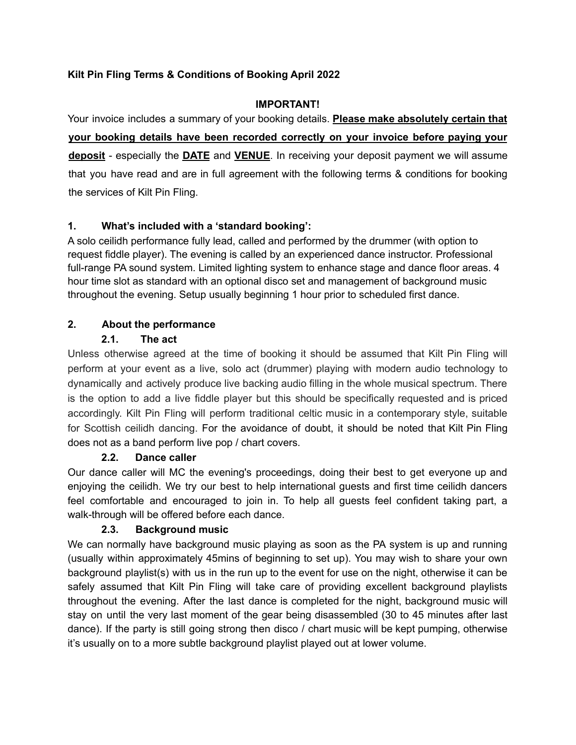# **Kilt Pin Fling Terms & Conditions of Booking April 2022**

#### **IMPORTANT!**

Your invoice includes a summary of your booking details. **Please make absolutely certain that your booking details have been recorded correctly on your invoice before paying your deposit** - especially the **DATE** and **VENUE**. In receiving your deposit payment we will assume that you have read and are in full agreement with the following terms & conditions for booking the services of Kilt Pin Fling.

# **1. What's included with a 'standard booking':**

A solo ceilidh performance fully lead, called and performed by the drummer (with option to request fiddle player). The evening is called by an experienced dance instructor. Professional full-range PA sound system. Limited lighting system to enhance stage and dance floor areas. 4 hour time slot as standard with an optional disco set and management of background music throughout the evening. Setup usually beginning 1 hour prior to scheduled first dance.

# **2. About the performance**

### **2.1. The act**

Unless otherwise agreed at the time of booking it should be assumed that Kilt Pin Fling will perform at your event as a live, solo act (drummer) playing with modern audio technology to dynamically and actively produce live backing audio filling in the whole musical spectrum. There is the option to add a live fiddle player but this should be specifically requested and is priced accordingly. Kilt Pin Fling will perform traditional celtic music in a contemporary style, suitable for Scottish ceilidh dancing. For the avoidance of doubt, it should be noted that Kilt Pin Fling does not as a band perform live pop / chart covers.

### **2.2. Dance caller**

Our dance caller will MC the evening's proceedings, doing their best to get everyone up and enjoying the ceilidh. We try our best to help international guests and first time ceilidh dancers feel comfortable and encouraged to join in. To help all guests feel confident taking part, a walk-through will be offered before each dance.

### **2.3. Background music**

We can normally have background music playing as soon as the PA system is up and running (usually within approximately 45mins of beginning to set up). You may wish to share your own background playlist(s) with us in the run up to the event for use on the night, otherwise it can be safely assumed that Kilt Pin Fling will take care of providing excellent background playlists throughout the evening. After the last dance is completed for the night, background music will stay on until the very last moment of the gear being disassembled (30 to 45 minutes after last dance). If the party is still going strong then disco / chart music will be kept pumping, otherwise it's usually on to a more subtle background playlist played out at lower volume.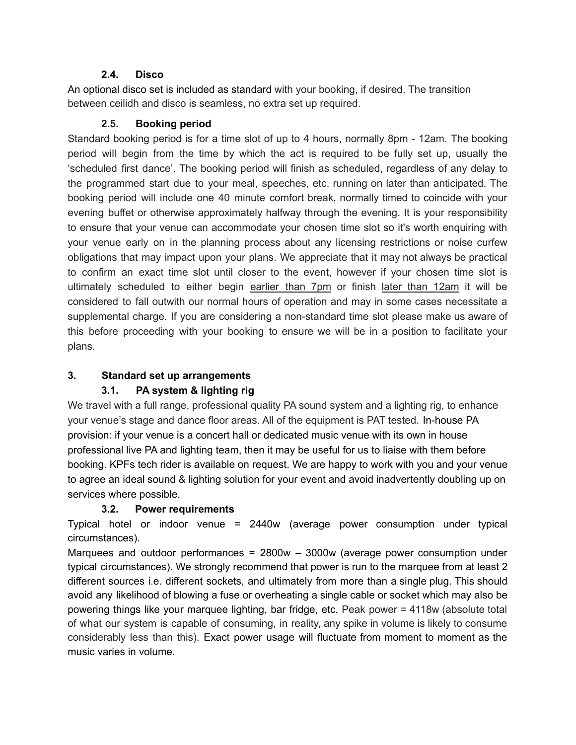### **2.4. Disco**

An optional disco set is included as standard with your booking, if desired. The transition between ceilidh and disco is seamless, no extra set up required.

# **2.5. Booking period**

Standard booking period is for a time slot of up to 4 hours, normally 8pm - 12am. The booking period will begin from the time by which the act is required to be fully set up, usually the 'scheduled first dance'. The booking period will finish as scheduled, regardless of any delay to the programmed start due to your meal, speeches, etc. running on later than anticipated. The booking period will include one 40 minute comfort break, normally timed to coincide with your evening buffet or otherwise approximately halfway through the evening. It is your responsibility to ensure that your venue can accommodate your chosen time slot so it's worth enquiring with your venue early on in the planning process about any licensing restrictions or noise curfew obligations that may impact upon your plans. We appreciate that it may not always be practical to confirm an exact time slot until closer to the event, however if your chosen time slot is ultimately scheduled to either begin earlier than 7pm or finish later than 12am it will be considered to fall outwith our normal hours of operation and may in some cases necessitate a supplemental charge. If you are considering a non-standard time slot please make us aware of this before proceeding with your booking to ensure we will be in a position to facilitate your plans.

# **3. Standard set up arrangements**

# **3.1. PA system & lighting rig**

We travel with a full range, professional quality PA sound system and a lighting rig, to enhance your venue's stage and dance floor areas. All of the equipment is PAT tested. In-house PA provision: if your venue is a concert hall or dedicated music venue with its own in house professional live PA and lighting team, then it may be useful for us to liaise with them before booking. KPFs tech rider is available on request. We are happy to work with you and your venue to agree an ideal sound & lighting solution for your event and avoid inadvertently doubling up on services where possible.

# **3.2. Power requirements**

Typical hotel or indoor venue = 2440w (average power consumption under typical circumstances).

Marquees and outdoor performances = 2800w – 3000w (average power consumption under typical circumstances). We strongly recommend that power is run to the marquee from at least 2 different sources i.e. different sockets, and ultimately from more than a single plug. This should avoid any likelihood of blowing a fuse or overheating a single cable or socket which may also be powering things like your marquee lighting, bar fridge, etc. Peak power = 4118w (absolute total of what our system is capable of consuming, in reality, any spike in volume is likely to consume considerably less than this). Exact power usage will fluctuate from moment to moment as the music varies in volume.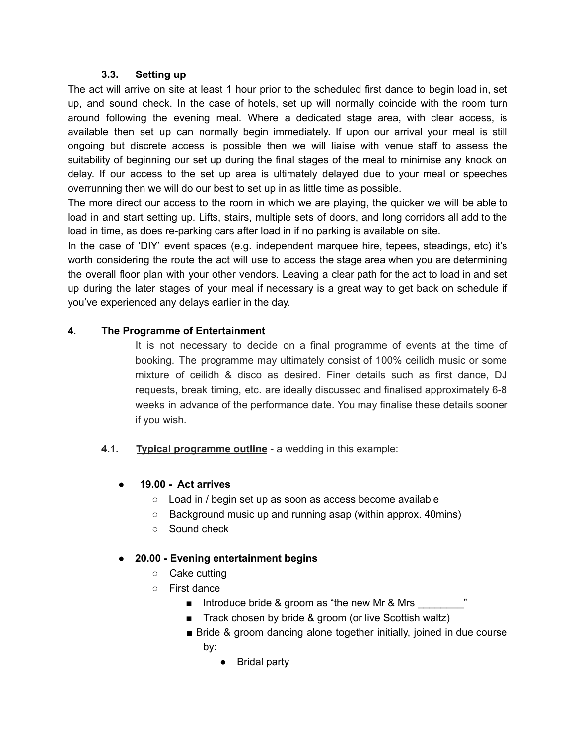#### **3.3. Setting up**

The act will arrive on site at least 1 hour prior to the scheduled first dance to begin load in, set up, and sound check. In the case of hotels, set up will normally coincide with the room turn around following the evening meal. Where a dedicated stage area, with clear access, is available then set up can normally begin immediately. If upon our arrival your meal is still ongoing but discrete access is possible then we will liaise with venue staff to assess the suitability of beginning our set up during the final stages of the meal to minimise any knock on delay. If our access to the set up area is ultimately delayed due to your meal or speeches overrunning then we will do our best to set up in as little time as possible.

The more direct our access to the room in which we are playing, the quicker we will be able to load in and start setting up. Lifts, stairs, multiple sets of doors, and long corridors all add to the load in time, as does re-parking cars after load in if no parking is available on site.

In the case of 'DIY' event spaces (e.g. independent marquee hire, tepees, steadings, etc) it's worth considering the route the act will use to access the stage area when you are determining the overall floor plan with your other vendors. Leaving a clear path for the act to load in and set up during the later stages of your meal if necessary is a great way to get back on schedule if you've experienced any delays earlier in the day.

### **4. The Programme of Entertainment**

It is not necessary to decide on a final programme of events at the time of booking. The programme may ultimately consist of 100% ceilidh music or some mixture of ceilidh & disco as desired. Finer details such as first dance, DJ requests, break timing, etc. are ideally discussed and finalised approximately 6-8 weeks in advance of the performance date. You may finalise these details sooner if you wish.

**4.1. Typical programme outline** - a wedding in this example:

### **● 19.00 - Act arrives**

- Load in / begin set up as soon as access become available
- Background music up and running asap (within approx. 40mins)
- Sound check

### **● 20.00 - Evening entertainment begins**

- Cake cutting
- First dance
	- Introduce bride & groom as "the new Mr & Mrs
	- Track chosen by bride & groom (or live Scottish waltz)
	- Bride & groom dancing alone together initially, joined in due course by:
		- Bridal party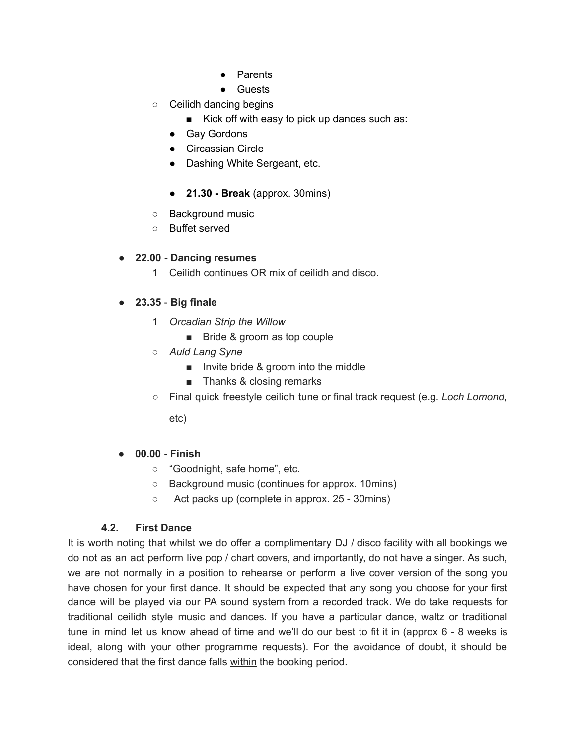- Parents
- **Guests**
- Ceilidh dancing begins
	- Kick off with easy to pick up dances such as:
	- Gay Gordons
	- Circassian Circle
	- Dashing White Sergeant, etc.
	- **21.30 - Break** (approx. 30mins)
- Background music
- Buffet served

### **● 22.00 - Dancing resumes**

1 Ceilidh continues OR mix of ceilidh and disco.

# **● 23.35** - **Big finale**

- 1 *Orcadian Strip the Willow*
	- Bride & groom as top couple
- *○ Auld Lang Syne*
	- Invite bride & groom into the middle
	- Thanks & closing remarks
- Final quick freestyle ceilidh tune or final track request (e.g. *Loch Lomond*,

etc)

### **● 00.00 - Finish**

- "Goodnight, safe home", etc.
- Background music (continues for approx. 10mins)
- Act packs up (complete in approx. 25 30mins)

### **4.2. First Dance**

It is worth noting that whilst we do offer a complimentary DJ / disco facility with all bookings we do not as an act perform live pop / chart covers, and importantly, do not have a singer. As such, we are not normally in a position to rehearse or perform a live cover version of the song you have chosen for your first dance. It should be expected that any song you choose for your first dance will be played via our PA sound system from a recorded track. We do take requests for traditional ceilidh style music and dances. If you have a particular dance, waltz or traditional tune in mind let us know ahead of time and we'll do our best to fit it in (approx 6 - 8 weeks is ideal, along with your other programme requests). For the avoidance of doubt, it should be considered that the first dance falls within the booking period.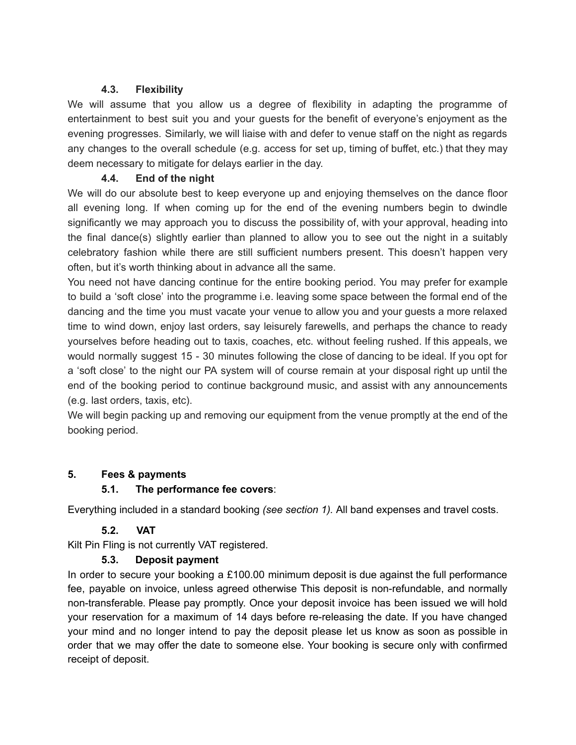### **4.3. Flexibility**

We will assume that you allow us a degree of flexibility in adapting the programme of entertainment to best suit you and your guests for the benefit of everyone's enjoyment as the evening progresses. Similarly, we will liaise with and defer to venue staff on the night as regards any changes to the overall schedule (e.g. access for set up, timing of buffet, etc.) that they may deem necessary to mitigate for delays earlier in the day.

# **4.4. End of the night**

We will do our absolute best to keep everyone up and enjoying themselves on the dance floor all evening long. If when coming up for the end of the evening numbers begin to dwindle significantly we may approach you to discuss the possibility of, with your approval, heading into the final dance(s) slightly earlier than planned to allow you to see out the night in a suitably celebratory fashion while there are still sufficient numbers present. This doesn't happen very often, but it's worth thinking about in advance all the same.

You need not have dancing continue for the entire booking period. You may prefer for example to build a 'soft close' into the programme i.e. leaving some space between the formal end of the dancing and the time you must vacate your venue to allow you and your guests a more relaxed time to wind down, enjoy last orders, say leisurely farewells, and perhaps the chance to ready yourselves before heading out to taxis, coaches, etc. without feeling rushed. If this appeals, we would normally suggest 15 - 30 minutes following the close of dancing to be ideal. If you opt for a 'soft close' to the night our PA system will of course remain at your disposal right up until the end of the booking period to continue background music, and assist with any announcements (e.g. last orders, taxis, etc).

We will begin packing up and removing our equipment from the venue promptly at the end of the booking period.

### **5. Fees & payments**

### **5.1. The performance fee covers**:

Everything included in a standard booking *(see section 1).* All band expenses and travel costs.

# **5.2. VAT**

Kilt Pin Fling is not currently VAT registered.

### **5.3. Deposit payment**

In order to secure your booking a  $£100.00$  minimum deposit is due against the full performance fee, payable on invoice, unless agreed otherwise This deposit is non-refundable, and normally non-transferable. Please pay promptly. Once your deposit invoice has been issued we will hold your reservation for a maximum of 14 days before re-releasing the date. If you have changed your mind and no longer intend to pay the deposit please let us know as soon as possible in order that we may offer the date to someone else. Your booking is secure only with confirmed receipt of deposit.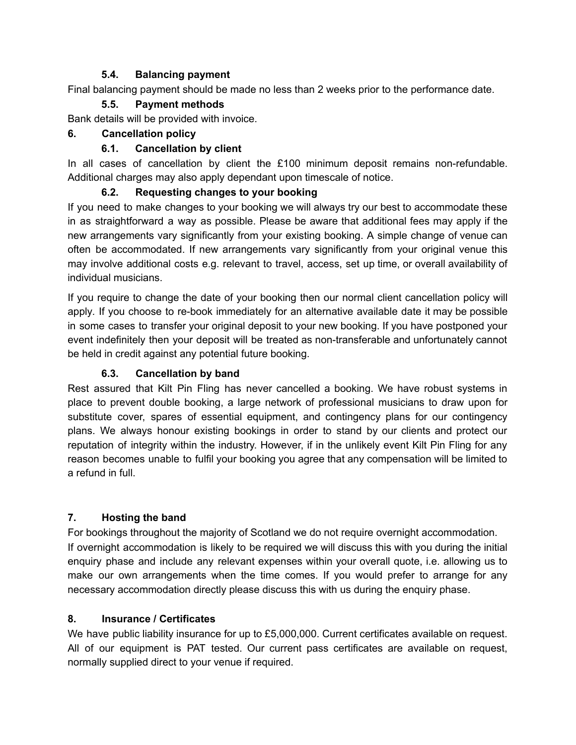### **5.4. Balancing payment**

Final balancing payment should be made no less than 2 weeks prior to the performance date.

# **5.5. Payment methods**

Bank details will be provided with invoice.

# **6. Cancellation policy**

# **6.1. Cancellation by client**

In all cases of cancellation by client the £100 minimum deposit remains non-refundable. Additional charges may also apply dependant upon timescale of notice.

# **6.2. Requesting changes to your booking**

If you need to make changes to your booking we will always try our best to accommodate these in as straightforward a way as possible. Please be aware that additional fees may apply if the new arrangements vary significantly from your existing booking. A simple change of venue can often be accommodated. If new arrangements vary significantly from your original venue this may involve additional costs e.g. relevant to travel, access, set up time, or overall availability of individual musicians.

If you require to change the date of your booking then our normal client cancellation policy will apply*.* If you choose to re-book immediately for an alternative available date it may be possible in some cases to transfer your original deposit to your new booking. If you have postponed your event indefinitely then your deposit will be treated as non-transferable and unfortunately cannot be held in credit against any potential future booking.

# **6.3. Cancellation by band**

Rest assured that Kilt Pin Fling has never cancelled a booking. We have robust systems in place to prevent double booking, a large network of professional musicians to draw upon for substitute cover, spares of essential equipment, and contingency plans for our contingency plans. We always honour existing bookings in order to stand by our clients and protect our reputation of integrity within the industry. However, if in the unlikely event Kilt Pin Fling for any reason becomes unable to fulfil your booking you agree that any compensation will be limited to a refund in full.

# **7. Hosting the band**

For bookings throughout the majority of Scotland we do not require overnight accommodation. If overnight accommodation is likely to be required we will discuss this with you during the initial enquiry phase and include any relevant expenses within your overall quote, i.e. allowing us to make our own arrangements when the time comes. If you would prefer to arrange for any necessary accommodation directly please discuss this with us during the enquiry phase.

### **8. Insurance / Certificates**

We have public liability insurance for up to £5,000,000. Current certificates available on request. All of our equipment is PAT tested. Our current pass certificates are available on request, normally supplied direct to your venue if required.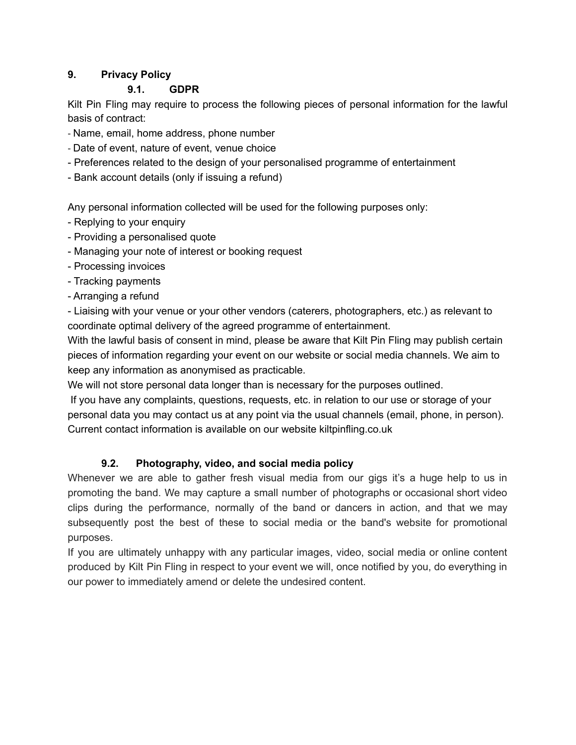# **9. Privacy Policy**

# **9.1. GDPR**

Kilt Pin Fling may require to process the following pieces of personal information for the lawful basis of contract:

- Name, email, home address, phone number
- Date of event, nature of event, venue choice
- Preferences related to the design of your personalised programme of entertainment
- Bank account details (only if issuing a refund)

Any personal information collected will be used for the following purposes only:

- Replying to your enquiry
- Providing a personalised quote
- Managing your note of interest or booking request
- Processing invoices
- Tracking payments
- Arranging a refund

- Liaising with your venue or your other vendors (caterers, photographers, etc.) as relevant to coordinate optimal delivery of the agreed programme of entertainment.

With the lawful basis of consent in mind, please be aware that Kilt Pin Fling may publish certain pieces of information regarding your event on our website or social media channels. We aim to keep any information as anonymised as practicable.

We will not store personal data longer than is necessary for the purposes outlined.

If you have any complaints, questions, requests, etc. in relation to our use or storage of your personal data you may contact us at any point via the usual channels (email, phone, in person). Current contact information is available on our website kiltpinfling.co.uk

# **9.2. Photography, video, and social media policy**

Whenever we are able to gather fresh visual media from our gigs it's a huge help to us in promoting the band. We may capture a small number of photographs or occasional short video clips during the performance, normally of the band or dancers in action, and that we may subsequently post the best of these to social media or the band's website for promotional purposes.

If you are ultimately unhappy with any particular images, video, social media or online content produced by Kilt Pin Fling in respect to your event we will, once notified by you, do everything in our power to immediately amend or delete the undesired content.